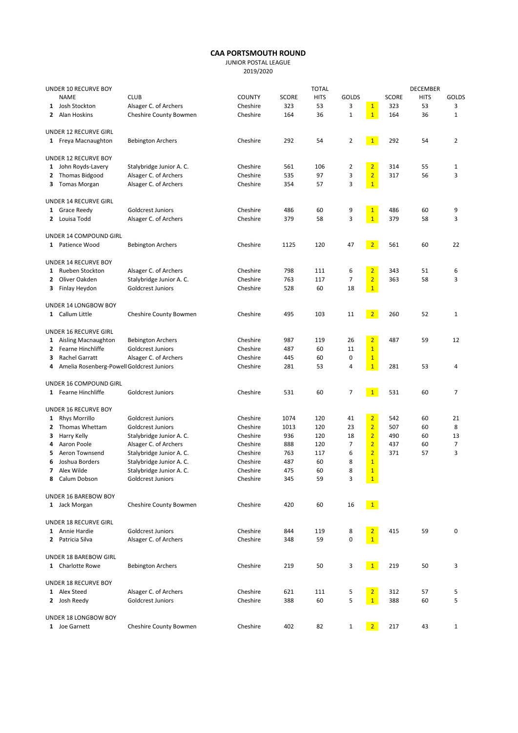## CAA PORTSMOUTH ROUND

JUNIOR POSTAL LEAGUE

2019/2020

| UNDER 10 RECURVE BOY        |                                             |               |              | <b>TOTAL</b> |                |                 |              | <b>DECEMBER</b> |              |
|-----------------------------|---------------------------------------------|---------------|--------------|--------------|----------------|-----------------|--------------|-----------------|--------------|
| <b>NAME</b>                 | <b>CLUB</b>                                 | <b>COUNTY</b> | <b>SCORE</b> | <b>HITS</b>  | <b>GOLDS</b>   |                 | <b>SCORE</b> | <b>HITS</b>     | <b>GOLDS</b> |
| 1 Josh Stockton             | Alsager C. of Archers                       | Cheshire      | 323          | 53           | 3              | $\mathbf{1}$    | 323          | 53              | 3            |
| 2 Alan Hoskins              | Cheshire County Bowmen                      | Cheshire      | 164          | 36           | $\mathbf 1$    | $\mathbf{1}$    | 164          | 36              | $\mathbf 1$  |
| UNDER 12 RECURVE GIRL       |                                             |               |              |              |                |                 |              |                 |              |
| 1 Freya Macnaughton         | <b>Bebington Archers</b>                    | Cheshire      | 292          | 54           | $\overline{2}$ | 1               | 292          | 54              | 2            |
| UNDER 12 RECURVE BOY        |                                             |               |              |              |                |                 |              |                 |              |
| 1 John Royds-Lavery         | Stalybridge Junior A. C.                    | Cheshire      | 561          | 106          | 2              | $\overline{2}$  | 314          | 55              | 1            |
| 2 Thomas Bidgood            | Alsager C. of Archers                       | Cheshire      | 535          | 97           | 3              | $\overline{2}$  | 317          | 56              | 3            |
| 3 Tomas Morgan              | Alsager C. of Archers                       | Cheshire      | 354          | 57           | 3              | $\mathbf{1}$    |              |                 |              |
| UNDER 14 RECURVE GIRL       |                                             |               |              |              |                |                 |              |                 |              |
| 1 Grace Reedy               | <b>Goldcrest Juniors</b>                    | Cheshire      | 486          | 60           | 9              | $\mathbf{1}$    | 486          | 60              | 9            |
| 2 Louisa Todd               | Alsager C. of Archers                       | Cheshire      | 379          | 58           | 3              | $\overline{1}$  | 379          | 58              | 3            |
| UNDER 14 COMPOUND GIRL      |                                             |               |              |              |                |                 |              |                 |              |
| 1 Patience Wood             | <b>Bebington Archers</b>                    | Cheshire      | 1125         | 120          | 47             | 2 <sup>7</sup>  | 561          | 60              | 22           |
| <b>UNDER 14 RECURVE BOY</b> |                                             |               |              |              |                |                 |              |                 |              |
| 1 Rueben Stockton           | Alsager C. of Archers                       | Cheshire      | 798          | 111          | 6              | $\overline{2}$  | 343          | 51              | 6            |
| Oliver Oakden<br>2          | Stalybridge Junior A. C.                    | Cheshire      | 763          | 117          | 7              | $\overline{2}$  | 363          | 58              | 3            |
| Finlay Heydon<br>з          | <b>Goldcrest Juniors</b>                    | Cheshire      | 528          | 60           | 18             | $\mathbf{1}$    |              |                 |              |
| UNDER 14 LONGBOW BOY        |                                             |               |              |              |                |                 |              |                 |              |
| 1 Callum Little             | Cheshire County Bowmen                      | Cheshire      | 495          | 103          | 11             | 2 <sup>1</sup>  | 260          | 52              | $\mathbf{1}$ |
| UNDER 16 RECURVE GIRL       |                                             |               |              |              |                |                 |              |                 |              |
| 1 Aisling Macnaughton       | <b>Bebington Archers</b>                    | Cheshire      | 987          | 119          | 26             | $\overline{2}$  | 487          | 59              | 12           |
| 2 Fearne Hinchliffe         | Goldcrest Juniors                           | Cheshire      | 487          | 60           | 11             | $\overline{1}$  |              |                 |              |
| Rachel Garratt<br>3         | Alsager C. of Archers                       | Cheshire      | 445          | 60           | 0              | $\mathbf{1}$    |              |                 |              |
|                             | 4 Amelia Rosenberg-Powell Goldcrest Juniors | Cheshire      | 281          | 53           | 4              | $\overline{1}$  | 281          | 53              | 4            |
| UNDER 16 COMPOUND GIRL      |                                             |               |              |              |                |                 |              |                 |              |
| 1 Fearne Hinchliffe         | <b>Goldcrest Juniors</b>                    | Cheshire      | 531          | 60           | 7              | 1               | 531          | 60              | 7            |
| UNDER 16 RECURVE BOY        |                                             |               |              |              |                |                 |              |                 |              |
| 1 Rhys Morrillo             | <b>Goldcrest Juniors</b>                    | Cheshire      | 1074         | 120          | 41             | $\overline{2}$  | 542          | 60              | 21           |
| Thomas Whettam<br>2         | Goldcrest Juniors                           | Cheshire      | 1013         | 120          | 23             | $\overline{2}$  | 507          | 60              | 8            |
| Harry Kelly<br>3            | Stalybridge Junior A. C.                    | Cheshire      | 936          | 120          | 18             | $\overline{2}$  | 490          | 60              | 13           |
| Aaron Poole<br>4            | Alsager C. of Archers                       | Cheshire      | 888          | 120          | 7              | $\overline{2}$  | 437          | 60              | 7            |
| Aeron Townsend<br>5         | Stalybridge Junior A. C.                    | Cheshire      | 763          | 117          | 6              | $\overline{2}$  | 371          | 57              | 3            |
| Joshua Borders<br>6         | Stalybridge Junior A. C.                    | Cheshire      | 487          | 60           | 8              | $\overline{1}$  |              |                 |              |
| Alex Wilde<br>7             | Stalybridge Junior A. C.                    | Cheshire      | 475          | 60           | 8              | $\overline{1}$  |              |                 |              |
| Calum Dobson<br>8           | Goldcrest Juniors                           | Cheshire      | 345          | 59           | 3              | $\mathbf{1}$    |              |                 |              |
| UNDER 16 BAREBOW BOY        |                                             |               |              |              |                |                 |              |                 |              |
| 1 Jack Morgan               | Cheshire County Bowmen                      | Cheshire      | 420          | 60           | 16             | 1               |              |                 |              |
| UNDER 18 RECURVE GIRL       |                                             |               |              |              |                |                 |              |                 |              |
| 1 Annie Hardie              | Goldcrest Juniors                           | Cheshire      | 844          | 119          | 8              | $\overline{2}$  | 415          | 59              | 0            |
| 2 Patricia Silva            | Alsager C. of Archers                       | Cheshire      | 348          | 59           | 0              | $\mathbf{1}$    |              |                 |              |
| UNDER 18 BAREBOW GIRL       |                                             |               |              |              |                |                 |              |                 |              |
| 1 Charlotte Rowe            | <b>Bebington Archers</b>                    | Cheshire      | 219          | 50           | 3              | $\vert 1 \vert$ | 219          | 50              | 3            |
| UNDER 18 RECURVE BOY        |                                             |               |              |              |                |                 |              |                 |              |
| 1 Alex Steed                | Alsager C. of Archers                       | Cheshire      | 621          | 111          | 5              | $\overline{2}$  | 312          | 57              | 5            |
| 2 Josh Reedy                | <b>Goldcrest Juniors</b>                    | Cheshire      | 388          | 60           | 5              | $\mathbf{1}$    | 388          | 60              | 5            |
| UNDER 18 LONGBOW BOY        |                                             |               |              |              |                |                 |              |                 |              |
| 1 Joe Garnett               | Cheshire County Bowmen                      | Cheshire      | 402          | 82           | $\mathbf{1}$   | 2 <sup>7</sup>  | 217          | 43              | 1            |
|                             |                                             |               |              |              |                |                 |              |                 |              |